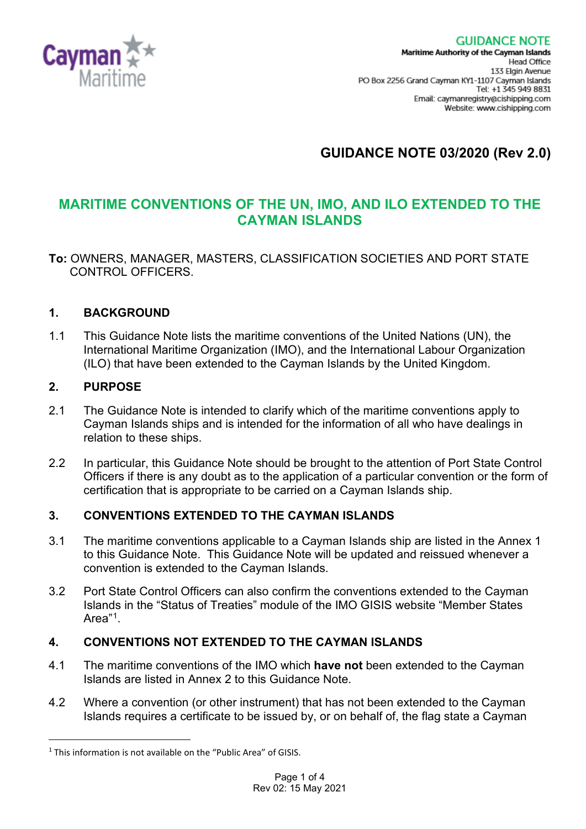

# **GUIDANCE NOTE 03/2020 (Rev 2.0)**

## **MARITIME CONVENTIONS OF THE UN, IMO, AND ILO EXTENDED TO THE CAYMAN ISLANDS**

**To:** OWNERS, MANAGER, MASTERS, CLASSIFICATION SOCIETIES AND PORT STATE CONTROL OFFICERS.

## **1. BACKGROUND**

1.1 This Guidance Note lists the maritime conventions of the United Nations (UN), the International Maritime Organization (IMO), and the International Labour Organization (ILO) that have been extended to the Cayman Islands by the United Kingdom.

## **2. PURPOSE**

- 2.1 The Guidance Note is intended to clarify which of the maritime conventions apply to Cayman Islands ships and is intended for the information of all who have dealings in relation to these ships.
- 2.2 In particular, this Guidance Note should be brought to the attention of Port State Control Officers if there is any doubt as to the application of a particular convention or the form of certification that is appropriate to be carried on a Cayman Islands ship.

## **3. CONVENTIONS EXTENDED TO THE CAYMAN ISLANDS**

- 3.1 The maritime conventions applicable to a Cayman Islands ship are listed in the Annex 1 to this Guidance Note. This Guidance Note will be updated and reissued whenever a convention is extended to the Cayman Islands.
- 3.2 Port State Control Officers can also confirm the conventions extended to the Cayman Islands in the "Status of Treaties" module of the IMO GISIS website "Member States Area"[1](#page-0-0).

## **4. CONVENTIONS NOT EXTENDED TO THE CAYMAN ISLANDS**

- 4.1 The maritime conventions of the IMO which **have not** been extended to the Cayman Islands are listed in Annex 2 to this Guidance Note.
- 4.2 Where a convention (or other instrument) that has not been extended to the Cayman Islands requires a certificate to be issued by, or on behalf of, the flag state a Cayman

<span id="page-0-0"></span> $1$  This information is not available on the "Public Area" of GISIS.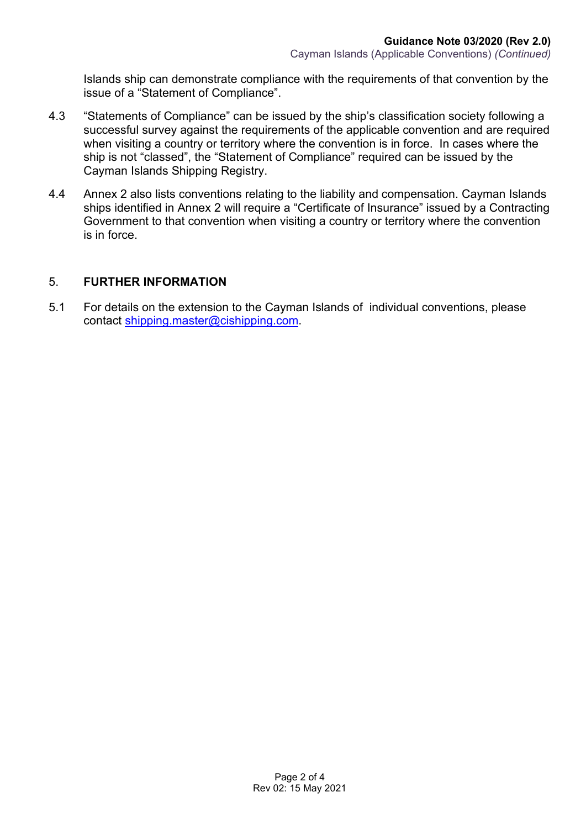Islands ship can demonstrate compliance with the requirements of that convention by the issue of a "Statement of Compliance".

- 4.3 "Statements of Compliance" can be issued by the ship's classification society following a successful survey against the requirements of the applicable convention and are required when visiting a country or territory where the convention is in force. In cases where the ship is not "classed", the "Statement of Compliance" required can be issued by the Cayman Islands Shipping Registry.
- 4.4 Annex 2 also lists conventions relating to the liability and compensation. Cayman Islands ships identified in Annex 2 will require a "Certificate of Insurance" issued by a Contracting Government to that convention when visiting a country or territory where the convention is in force.

#### 5. **FURTHER INFORMATION**

5.1 For details on the extension to the Cayman Islands of individual conventions, please contact [shipping.master@cishipping.com.](mailto:shipping.master@cishipping.com)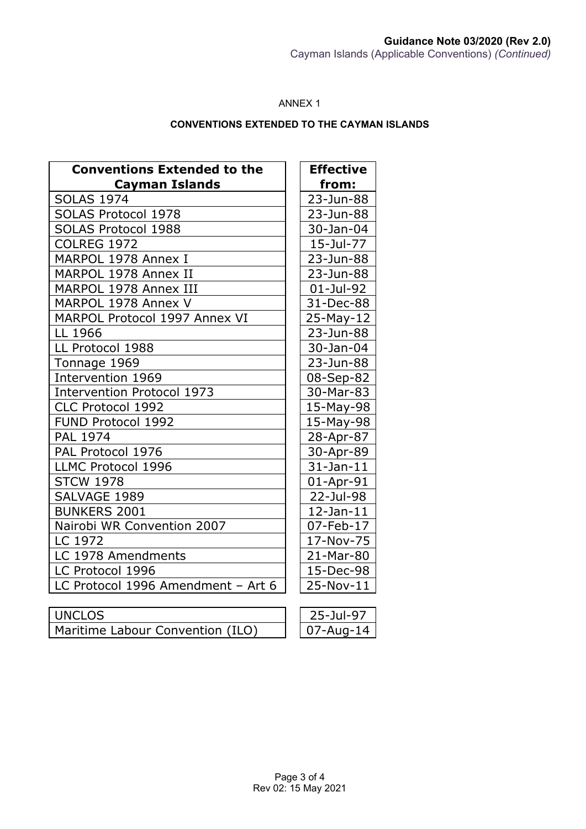#### ANNEX 1

#### **CONVENTIONS EXTENDED TO THE CAYMAN ISLANDS**

| <b>Conventions Extended to the</b><br><b>Cayman Islands</b> | <b>Effective</b><br>from: |
|-------------------------------------------------------------|---------------------------|
| <b>SOLAS 1974</b>                                           | 23-Jun-88                 |
| <b>SOLAS Protocol 1978</b>                                  | 23-Jun-88                 |
| SOLAS Protocol 1988                                         | 30-Jan-04                 |
| <b>COLREG 1972</b>                                          | 15-Jul-77                 |
| MARPOL 1978 Annex I                                         | 23-Jun-88                 |
| MARPOL 1978 Annex II                                        | 23-Jun-88                 |
| MARPOL 1978 Annex III                                       | 01-Jul-92                 |
| MARPOL 1978 Annex V                                         | 31-Dec-88                 |
| MARPOL Protocol 1997 Annex VI                               | 25-May-12                 |
| LL 1966                                                     | 23-Jun-88                 |
| LL Protocol 1988                                            | 30-Jan-04                 |
| Tonnage 1969                                                | 23-Jun-88                 |
| Intervention 1969                                           | 08-Sep-82                 |
| <b>Intervention Protocol 1973</b>                           | 30-Mar-83                 |
| CLC Protocol 1992                                           | 15-May-98                 |
| FUND Protocol 1992                                          | 15-May-98                 |
| <b>PAL 1974</b>                                             | 28-Apr-87                 |
| PAL Protocol 1976                                           | 30-Apr-89                 |
| LLMC Protocol 1996                                          | $31$ -Jan- $11$           |
| <b>STCW 1978</b>                                            | $01$ -Apr-91              |
| SALVAGE 1989                                                | 22-Jul-98                 |
| <b>BUNKERS 2001</b>                                         | $12$ -Jan- $11$           |
| Nairobi WR Convention 2007                                  | 07-Feb-17                 |
| LC 1972                                                     | 17-Nov-75                 |
| LC 1978 Amendments                                          | 21-Mar-80                 |
| LC Protocol 1996                                            | 15-Dec-98                 |
| LC Protocol 1996 Amendment - Art 6                          | 25-Nov-11                 |
|                                                             |                           |

| UNCLOS                           | $\vert$ 25-Jul-97 |
|----------------------------------|-------------------|
| Maritime Labour Convention (ILO) | $\vert$ 07-Aug-14 |

| 25-Jul-97    |
|--------------|
| $07$ -Aug-14 |